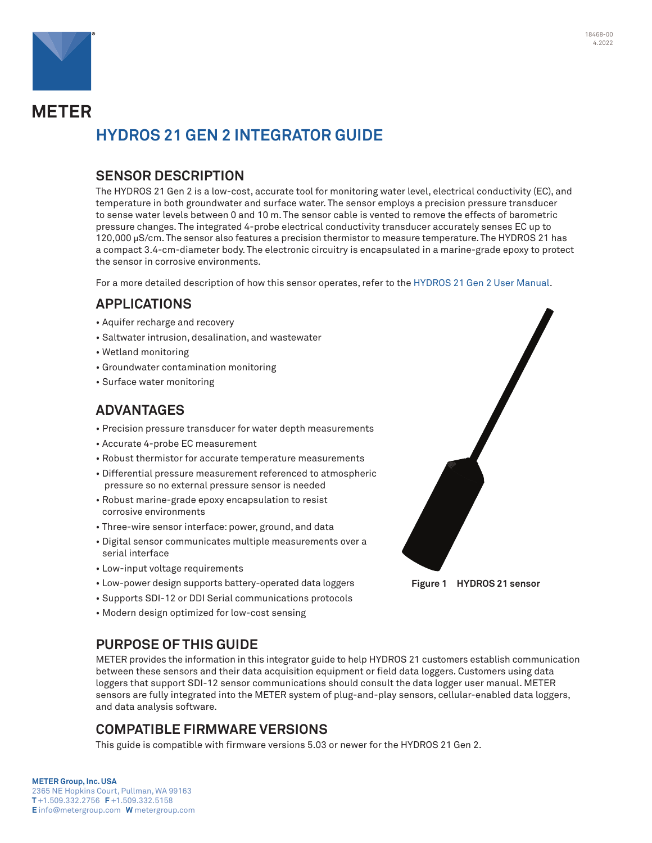

**METER** 

# **HYDROS 21 GEN 2 INTEGRATOR GUIDE**

## **SENSOR DESCRIPTION**

The HYDROS 21 Gen 2 is a low-cost, accurate tool for monitoring water level, electrical conductivity (EC), and temperature in both groundwater and surface water. The sensor employs a precision pressure transducer to sense water levels between 0 and 10 m. The sensor cable is vented to remove the effects of barometric pressure changes. The integrated 4-probe electrical conductivity transducer accurately senses EC up to 120,000 µS/cm. The sensor also features a precision thermistor to measure temperature. The HYDROS 21 has a compact 3.4-cm-diameter body. The electronic circuitry is encapsulated in a marine-grade epoxy to protect the sensor in corrosive environments.

For a more detailed description of how this sensor operates, refer to the [HYDROS 21 Gen 2 User Manual](http://library.metergroup.com/Manuals/20908_HYDROS21_GEN2_Manual_Web.pdf).

## **APPLICATIONS**

- Aquifer recharge and recovery
- Saltwater intrusion, desalination, and wastewater
- Wetland monitoring
- Groundwater contamination monitoring
- Surface water monitoring

## **ADVANTAGES**

- Precision pressure transducer for water depth measurements
- Accurate 4-probe EC measurement
- Robust thermistor for accurate temperature measurements
- Differential pressure measurement referenced to atmospheric pressure so no external pressure sensor is needed
- Robust marine-grade epoxy encapsulation to resist corrosive environments
- Three-wire sensor interface: power, ground, and data
- Digital sensor communicates multiple measurements over a serial interface
- Low-input voltage requirements
- Low-power design supports battery-operated data loggers
- Supports SDI-12 or DDI Serial communications protocols
- Modern design optimized for low-cost sensing

## **PURPOSE OF THIS GUIDE**

METER provides the information in this integrator guide to help HYDROS 21 customers establish communication between these sensors and their data acquisition equipment or field data loggers. Customers using data loggers that support SDI-12 sensor communications should consult the data logger user manual. METER sensors are fully integrated into the METER system of plug-and-play sensors, cellular-enabled data loggers, and data analysis software.

## **COMPATIBLE FIRMWARE VERSIONS**

This guide is compatible with firmware versions 5.03 or newer for the HYDROS 21 Gen 2.

### **METER Group, Inc. USA**

2365 NE Hopkins Court, Pullman, WA 99163 **T** +1.509.332.2756 **F** +1.509.332.5158 **E** info@metergroup.com **W** metergroup.com



**Figure 1 HYDROS 21 sensor**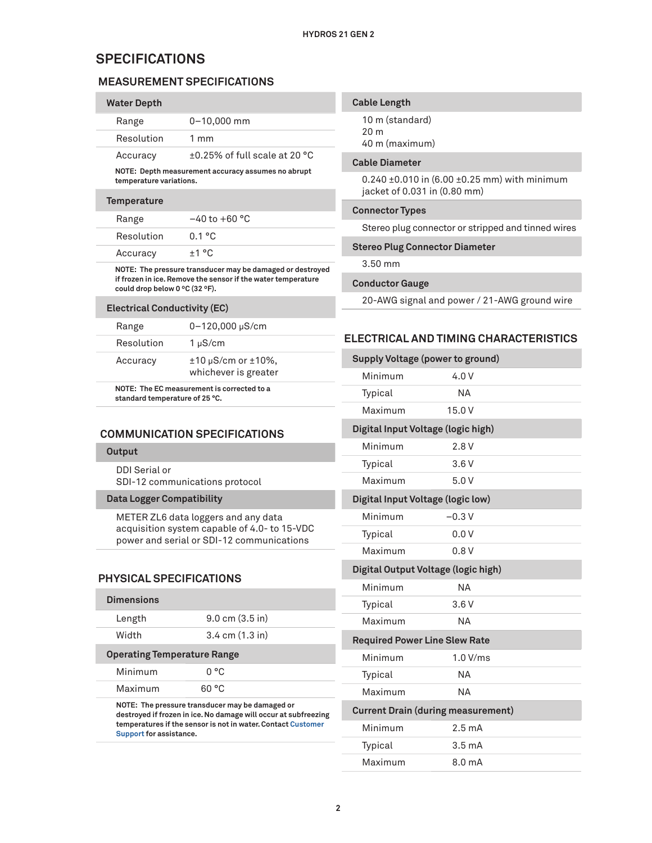## **SPECIFICATIONS**

## **MEASUREMENT SPECIFICATIONS**

| <b>Water Depth</b>                                                                                                                                                            |                                                    |  |
|-------------------------------------------------------------------------------------------------------------------------------------------------------------------------------|----------------------------------------------------|--|
| Range                                                                                                                                                                         | $0 - 10,000$ mm                                    |  |
| Resolution                                                                                                                                                                    | $1 \text{ mm}$                                     |  |
| Accuracy                                                                                                                                                                      | $+0.25\%$ of full scale at 20 °C                   |  |
| temperature variations.                                                                                                                                                       | NOTE: Depth measurement accuracy assumes no abrupt |  |
| <b>Temperature</b>                                                                                                                                                            |                                                    |  |
| Range                                                                                                                                                                         | $-40$ to $+60$ °C                                  |  |
| Resolution                                                                                                                                                                    | 0.1 °C                                             |  |
| Accuracy                                                                                                                                                                      | +1 °C                                              |  |
| NOTE: The pressure transducer may be damaged or destroyed<br>if frozen in ice. Remove the sensor if the water temperature<br>could drop below 0 $\degree$ C (32 $\degree$ F). |                                                    |  |

| <b>Electrical Conductivity (EC)</b> |  |
|-------------------------------------|--|
|                                     |  |

| Range      | $0 - 120,000 \mu S/cm$                                            |
|------------|-------------------------------------------------------------------|
| Resolution | $1 \mu S/cm$                                                      |
| Accuracy   | $\pm 10 \,\mu\text{S/cm}$ or $\pm 10\%$ ,<br>whichever is greater |

**NOTE: The EC measurement is corrected to a standard temperature of 25 °C.**

## **COMMUNICATION SPECIFICATIONS**

#### **Output**

DDI Serial or SDI-12 communications protocol

#### **Data Logger Compatibility**

METER ZL6 data loggers and any data acquisition system capable of 4.0- to 15-VDC power and serial or SDI-12 communications

### **PHYSICAL SPECIFICATIONS**

| Dimensions                         |                                                                                                                                                                                    |
|------------------------------------|------------------------------------------------------------------------------------------------------------------------------------------------------------------------------------|
| Length                             | $9.0 \text{ cm } (3.5 \text{ in})$                                                                                                                                                 |
| Width                              | $3.4 \text{ cm } (1.3 \text{ in})$                                                                                                                                                 |
| <b>Operating Temperature Range</b> |                                                                                                                                                                                    |
| Minimum                            | n °C                                                                                                                                                                               |
| Maximum                            | 60 °C                                                                                                                                                                              |
| Support for assistance.            | NOTE: The pressure transducer may be damaged or<br>destroyed if frozen in ice. No damage will occur at subfreezing<br>temperatures if the sensor is not in water. Contact Customer |

| <b>Cable Length</b> |  |  |
|---------------------|--|--|
|                     |  |  |

10 m (standard) 20 m 40 m (maximum)

#### **Cable Diameter**

0.240 ±0.010 in (6.00 ±0.25 mm) with minimum jacket of 0.031 in (0.80 mm)

#### **Connector Types**

Stereo plug connector or stripped and tinned wires

#### **Stereo Plug Connector Diameter**

3.50 mm

#### **Conductor Gauge**

20-AWG signal and power / 21-AWG ground wire

### <span id="page-1-0"></span>**ELECTRICAL AND TIMING CHARACTERISTICS**

| <b>Supply Voltage (power to ground)</b>  |                                           |  |
|------------------------------------------|-------------------------------------------|--|
| Minimum                                  | 4.0V                                      |  |
| Typical                                  | NΑ                                        |  |
| Maximum                                  | 15.0V                                     |  |
| Digital Input Voltage (logic high)       |                                           |  |
| Minimum                                  | 2.8V                                      |  |
| Typical                                  | 3.6V                                      |  |
| Maximum                                  | 5.0V                                      |  |
| <b>Digital Input Voltage (logic low)</b> |                                           |  |
| Minimum                                  | $-0.3V$                                   |  |
| Typical                                  | 0.0V                                      |  |
| Maximum                                  | 0.8V                                      |  |
| Digital Output Voltage (logic high)      |                                           |  |
| Minimum                                  | NΑ                                        |  |
| Typical                                  | 3.6V                                      |  |
| Maximum                                  | NΑ                                        |  |
| <b>Required Power Line Slew Rate</b>     |                                           |  |
| Minimum                                  | 1.0 V/ms                                  |  |
| Typical                                  | ΝA                                        |  |
| Maximum                                  | NΑ                                        |  |
|                                          | <b>Current Drain (during measurement)</b> |  |
| Minimum                                  | 2.5 <sub>mA</sub>                         |  |
| Typical                                  | 3.5 <sub>mA</sub>                         |  |
| Maximum                                  | 8.0 <sub>m</sub> A                        |  |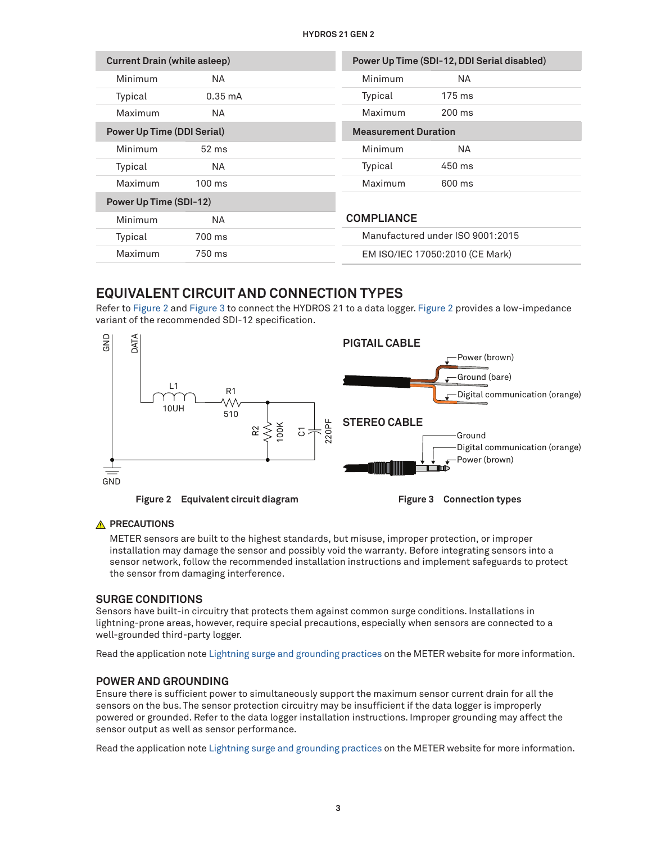| <b>Current Drain (while asleep)</b> |                   |                             | Power Up Time (SDI-12, DDI Serial disabled) |
|-------------------------------------|-------------------|-----------------------------|---------------------------------------------|
| Minimum                             | NА                | Minimum                     | NA.                                         |
| Typical                             | $0.35 \text{ mA}$ | Typical                     | $175 \text{ ms}$                            |
| Maximum                             | NА                | Maximum                     | $200 \text{ ms}$                            |
| <b>Power Up Time (DDI Serial)</b>   |                   | <b>Measurement Duration</b> |                                             |
| Minimum                             | 52 ms             | Minimum                     | NA.                                         |
| Typical                             | NА                | Typical                     | 450 ms                                      |
| Maximum                             | $100 \text{ ms}$  | Maximum                     | 600 ms                                      |
| <b>Power Up Time (SDI-12)</b>       |                   |                             |                                             |
| Minimum                             | NА                | <b>COMPLIANCE</b>           |                                             |
| Typical                             | 700 ms            |                             | Manufactured under ISO 9001:2015            |
| Maximum                             | 750 ms            |                             | EM ISO/IEC 17050:2010 (CE Mark)             |

## **EQUIVALENT CIRCUIT AND CONNECTION TYPES**

Refer to [Figure 2](#page-2-0) and [Figure 3](#page-2-1) to connect the HYDROS 21 to a data logger. [Figure 2](#page-2-0) provides a low-impedance variant of the recommended SDI-12 specification.



<span id="page-2-0"></span>**Figure 2 Equivalent circuit diagram Figure 3 Connection types**

<span id="page-2-1"></span>

### **A** PRECAUTIONS

METER sensors are built to the highest standards, but misuse, improper protection, or improper installation may damage the sensor and possibly void the warranty. Before integrating sensors into a sensor network, follow the recommended installation instructions and implement safeguards to protect the sensor from damaging interference.

### **SURGE CONDITIONS**

Sensors have built-in circuitry that protects them against common surge conditions. Installations in lightning-prone areas, however, require special precautions, especially when sensors are connected to a well-grounded third-party logger.

Read the application note [Lightning surge and grounding practices](https://www.metergroup.com/meter_knowledgebase/lightning-surge-grounding-practices/) on the METER website for more information.

### **POWER AND GROUNDING**

Ensure there is sufficient power to simultaneously support the maximum sensor current drain for all the sensors on the bus. The sensor protection circuitry may be insufficient if the data logger is improperly powered or grounded. Refer to the data logger installation instructions. Improper grounding may affect the sensor output as well as sensor performance.

Read the application note [Lightning surge and grounding practices](https://www.metergroup.com/meter_knowledgebase/lightning-surge-grounding-practices/) on the METER website for more information.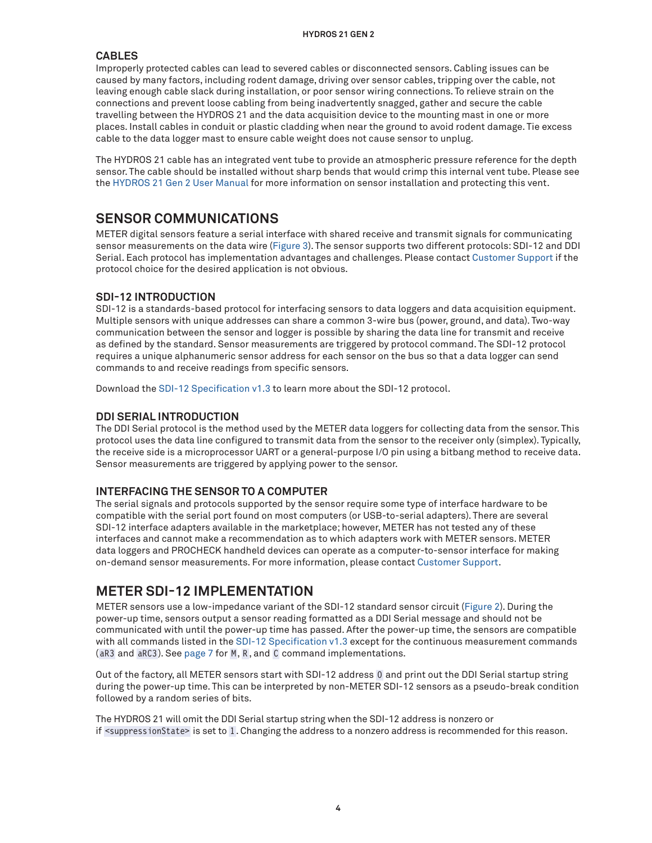## **CABLES**

Improperly protected cables can lead to severed cables or disconnected sensors. Cabling issues can be caused by many factors, including rodent damage, driving over sensor cables, tripping over the cable, not leaving enough cable slack during installation, or poor sensor wiring connections. To relieve strain on the connections and prevent loose cabling from being inadvertently snagged, gather and secure the cable travelling between the HYDROS 21 and the data acquisition device to the mounting mast in one or more places. Install cables in conduit or plastic cladding when near the ground to avoid rodent damage. Tie excess cable to the data logger mast to ensure cable weight does not cause sensor to unplug.

The HYDROS 21 cable has an integrated vent tube to provide an atmospheric pressure reference for the depth sensor. The cable should be installed without sharp bends that would crimp this internal vent tube. Please see the [HYDROS 21 Gen 2 User Manual](http://library.metergroup.com/Manuals/20908_HYDROS21_GEN2_Manual_Web.pdf) for more information on sensor installation and protecting this vent.

## **SENSOR COMMUNICATIONS**

METER digital sensors feature a serial interface with shared receive and transmit signals for communicating sensor measurements on the data wire [\(Figure 3](#page-2-1)). The sensor supports two different protocols: SDI-12 and DDI Serial. Each protocol has implementation advantages and challenges. Please contact [Customer Support](#page-12-0) if the protocol choice for the desired application is not obvious.

### **SDI-12 INTRODUCTION**

SDI-12 is a standards-based protocol for interfacing sensors to data loggers and data acquisition equipment. Multiple sensors with unique addresses can share a common 3-wire bus (power, ground, and data). Two-way communication between the sensor and logger is possible by sharing the data line for transmit and receive as defined by the standard. Sensor measurements are triggered by protocol command. The SDI-12 protocol requires a unique alphanumeric sensor address for each sensor on the bus so that a data logger can send commands to and receive readings from specific sensors.

Download the [SDI-12 Specification v1.3](https://sdi-12.org/archives_folder/SDI-12_version1_3%20January%2028,%202016.pdf) to learn more about the SDI-12 protocol.

### **DDI SERIAL INTRODUCTION**

The DDI Serial protocol is the method used by the METER data loggers for collecting data from the sensor. This protocol uses the data line configured to transmit data from the sensor to the receiver only (simplex). Typically, the receive side is a microprocessor UART or a general-purpose I/O pin using a bitbang method to receive data. Sensor measurements are triggered by applying power to the sensor.

### **INTERFACING THE SENSOR TO A COMPUTER**

The serial signals and protocols supported by the sensor require some type of interface hardware to be compatible with the serial port found on most computers (or USB-to-serial adapters). There are several SDI-12 interface adapters available in the marketplace; however, METER has not tested any of these interfaces and cannot make a recommendation as to which adapters work with METER sensors. METER data loggers and PROCHECK handheld devices can operate as a computer-to-sensor interface for making on-demand sensor measurements. For more information, please contact [Customer Support](#page-12-0).

## <span id="page-3-0"></span>**METER SDI-12 IMPLEMENTATION**

METER sensors use a low-impedance variant of the SDI-12 standard sensor circuit [\(Figure 2\)](#page-2-0). During the power-up time, sensors output a sensor reading formatted as a DDI Serial message and should not be communicated with until the power-up time has passed. After the power-up time, the sensors are compatible with all commands listed in the [SDI-12 Specification v1.3](https://sdi-12.org/archives_folder/SDI-12_version1_3%20January%2028,%202016.pdf) except for the continuous measurement commands (aR3 and aRC3). See [page 7](#page-6-0) for M, R, and C command implementations.

Out of the factory, all METER sensors start with SDI-12 address 0 and print out the DDI Serial startup string during the power-up time. This can be interpreted by non-METER SDI-12 sensors as a pseudo-break condition followed by a random series of bits.

The HYDROS 21 will omit the DDI Serial startup string when the SDI-12 address is nonzero or if <suppressionState> is set to 1. Changing the address to a nonzero address is recommended for this reason.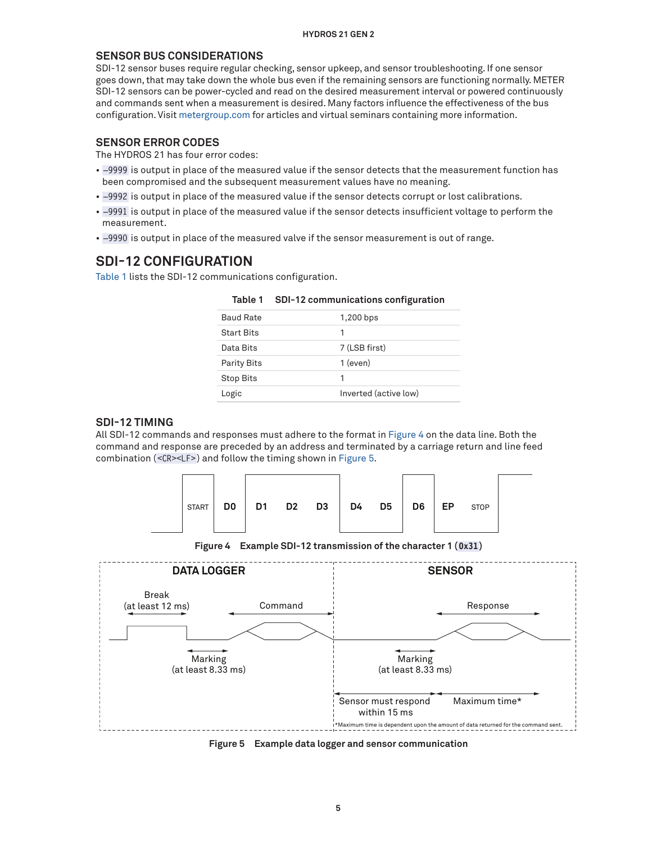#### **SENSOR BUS CONSIDERATIONS**

SDI-12 sensor buses require regular checking, sensor upkeep, and sensor troubleshooting. If one sensor goes down, that may take down the whole bus even if the remaining sensors are functioning normally. METER SDI-12 sensors can be power-cycled and read on the desired measurement interval or powered continuously and commands sent when a measurement is desired. Many factors influence the effectiveness of the bus configuration. Visit [metergroup.com](http://www.metergroup.com) for articles and virtual seminars containing more information.

### **SENSOR ERROR CODES**

The HYDROS 21 has four error codes:

- –9999 is output in place of the measured value if the sensor detects that the measurement function has been compromised and the subsequent measurement values have no meaning.
- –9992 is output in place of the measured value if the sensor detects corrupt or lost calibrations.
- –9991 is output in place of the measured value if the sensor detects insufficient voltage to perform the measurement.
- –9990 is output in place of the measured valve if the sensor measurement is out of range.

## **SDI-12 CONFIGURATION**

[Table 1](#page-4-0) lists the SDI-12 communications configuration.

| <b>Baud Rate</b>   | 1,200 bps             |
|--------------------|-----------------------|
| <b>Start Bits</b>  | 1                     |
| Data Bits          | 7 (LSB first)         |
| <b>Parity Bits</b> | 1 (even)              |
| <b>Stop Bits</b>   | 1                     |
| Logic              | Inverted (active low) |

<span id="page-4-0"></span>

|  |  | Table 1 SDI-12 communications configuration |  |
|--|--|---------------------------------------------|--|
|--|--|---------------------------------------------|--|

#### **SDI-12 TIMING**

All SDI-12 commands and responses must adhere to the format in [Figure 4](#page-4-1) on the data line. Both the command and response are preceded by an address and terminated by a carriage return and line feed combination (<CR><LF> ) and follow the timing shown in [Figure 5](#page-4-2).



<span id="page-4-1"></span>**Figure 4 Example SDI-12 transmission of the character 1 (0x31)**



<span id="page-4-2"></span>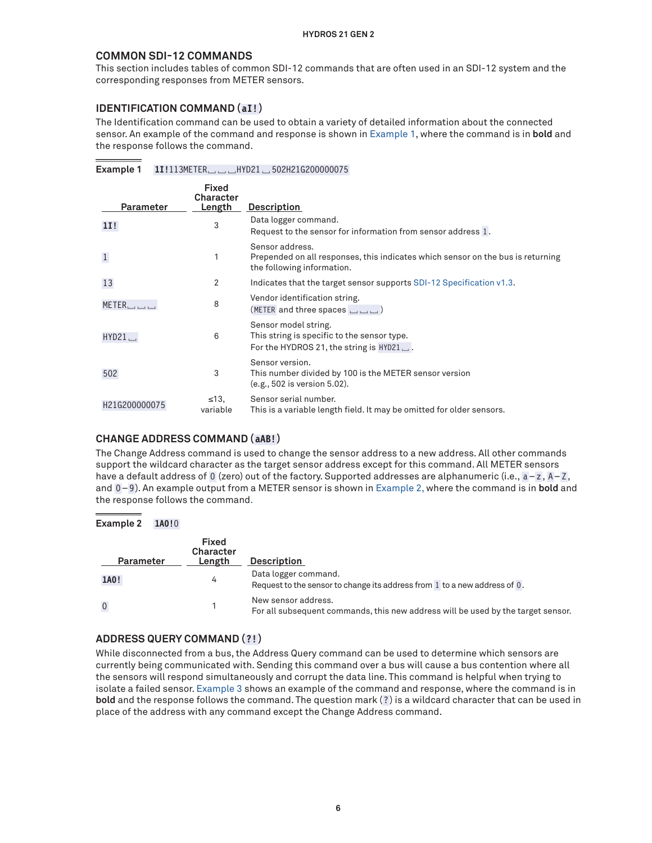### **COMMON SDI-12 COMMANDS**

This section includes tables of common SDI-12 commands that are often used in an SDI-12 system and the corresponding responses from METER sensors.

### **IDENTIFICATION COMMAND (aI!)**

The Identification command can be used to obtain a variety of detailed information about the connected sensor. An example of the command and response is shown in [Example 1](#page-5-0), where the command is in **bold** and the response follows the command.

### **Example 1 1I!**113METER␣␣␣HYD21␣502H21G200000075

<span id="page-5-0"></span>

| <b>Parameter</b>      | Fixed<br>Character<br>Length | <b>Description</b>                                                                                                               |
|-----------------------|------------------------------|----------------------------------------------------------------------------------------------------------------------------------|
| 11!                   | 3                            | Data logger command.<br>Request to the sensor for information from sensor address 1.                                             |
| $\mathbf{1}$          | 1                            | Sensor address.<br>Prepended on all responses, this indicates which sensor on the bus is returning<br>the following information. |
| 13                    | 2                            | Indicates that the target sensor supports SDI-12 Specification v1.3.                                                             |
| $METER$ $\Box$ $\Box$ | 8                            | Vendor identification string.<br>(METER and three spaces ___)                                                                    |
| HYD21.                | 6                            | Sensor model string.<br>This string is specific to the sensor type.<br>For the HYDROS 21, the string is $HYD21$ .                |
| 502                   | 3                            | Sensor version.<br>This number divided by 100 is the METER sensor version<br>(e.g., 502 is version 5.02).                        |
| H21G200000075         | $\leq 13$<br>variable        | Sensor serial number.<br>This is a variable length field. It may be omitted for older sensors.                                   |

## **CHANGE ADDRESS COMMAND (aAB!)**

The Change Address command is used to change the sensor address to a new address. All other commands support the wildcard character as the target sensor address except for this command. All METER sensors have a default address of 0 (zero) out of the factory. Supported addresses are alphanumeric (i.e., a-z, A-Z, and 0-9). An example output from a METER sensor is shown in [Example 2](#page-5-1), where the command is in **bold** and the response follows the command.

#### **Example 2 1A0!**0

<span id="page-5-1"></span>

| Parameter   | <b>Fixed</b><br>Character<br>Length | <b>Description</b>                                                                                      |
|-------------|-------------------------------------|---------------------------------------------------------------------------------------------------------|
| 1A0!        | 4                                   | Data logger command.<br>Request to the sensor to change its address from 1 to a new address of 0.       |
| $\mathbf 0$ |                                     | New sensor address.<br>For all subsequent commands, this new address will be used by the target sensor. |

### **ADDRESS QUERY COMMAND (?!)**

While disconnected from a bus, the Address Query command can be used to determine which sensors are currently being communicated with. Sending this command over a bus will cause a bus contention where all the sensors will respond simultaneously and corrupt the data line. This command is helpful when trying to isolate a failed sensor. [Example 3](#page-6-1) shows an example of the command and response, where the command is in **bold** and the response follows the command. The question mark (?) is a wildcard character that can be used in place of the address with any command except the Change Address command.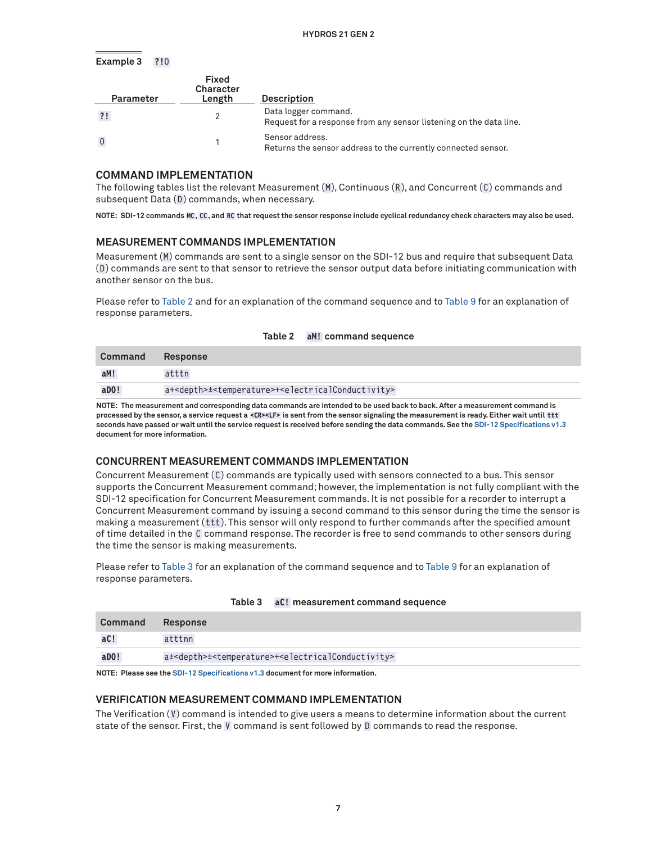#### <span id="page-6-1"></span>**Example 3 ?!**0

| <b>Parameter</b> | Fixed<br>Character<br>Length | <b>Description</b>                                                                         |
|------------------|------------------------------|--------------------------------------------------------------------------------------------|
| ?!               |                              | Data logger command.<br>Request for a response from any sensor listening on the data line. |
|                  |                              | Sensor address.<br>Returns the sensor address to the currently connected sensor.           |

### **COMMAND IMPLEMENTATION**

The following tables list the relevant Measurement (M), Continuous (R), and Concurrent (C) commands and subsequent Data (D) commands, when necessary.

**NOTE: SDI-12 commands MC, CC , and RC that request the sensor response include cyclical redundancy check characters may also be used.**

#### <span id="page-6-0"></span>**MEASUREMENT COMMANDS IMPLEMENTATION**

Measurement (M) commands are sent to a single sensor on the SDI-12 bus and require that subsequent Data (D ) commands are sent to that sensor to retrieve the sensor output data before initiating communication with another sensor on the bus.

Please refer to [Table 2](#page-6-2) and for an explanation of the command sequence and to [Table 9](#page-8-0) for an explanation of response parameters.

| Command | <b>Response</b>                                                                                  |
|---------|--------------------------------------------------------------------------------------------------|
| aM!     | atttn                                                                                            |
| $a$ DO! | a+ <depth>±<temperature>+<electricalconductivity></electricalconductivity></temperature></depth> |

<span id="page-6-2"></span>

| Table 2 |  | aM! command sequence |  |
|---------|--|----------------------|--|
|---------|--|----------------------|--|

**NOTE: The measurement and corresponding data commands are intended to be used back to back. After a measurement command is processed by the sensor, a service request a <CR><LF> is sent from the sensor signaling the measurement is ready. Either wait until ttt seconds have passed or wait until the service request is received before sending the data commands. See the [SDI-12 Specifications v1.3](https://sdi-12.org/archives_folder/SDI-12_version1_3%20January%2028,%202016.pdf) document for more information.**

#### **CONCURRENT MEASUREMENT COMMANDS IMPLEMENTATION**

Concurrent Measurement (C) commands are typically used with sensors connected to a bus. This sensor supports the Concurrent Measurement command; however, the implementation is not fully compliant with the SDI-12 specification for Concurrent Measurement commands. It is not possible for a recorder to interrupt a Concurrent Measurement command by issuing a second command to this sensor during the time the sensor is making a measurement (ttt). This sensor will only respond to further commands after the specified amount of time detailed in the C command response. The recorder is free to send commands to other sensors during the time the sensor is making measurements.

Please refer to [Table 3](#page-6-3) for an explanation of the command sequence and to [Table 9](#page-8-0) for an explanation of response parameters.

| Command               | <b>Response</b>                                                                                  |
|-----------------------|--------------------------------------------------------------------------------------------------|
| aC!                   | atttnn                                                                                           |
| $a$ <sub>D</sub> $0!$ | a± <depth>±<temperature>+<electricalconductivity></electricalconductivity></temperature></depth> |

#### <span id="page-6-3"></span>**Table 3 aC! measurement command sequence**

**NOTE: Please see the [SDI-12 Specifications v1.3](https://sdi-12.org/archives_folder/SDI-12_version1_3%20January%2028,%202016.pdf) document for more information.**

#### **VERIFICATION MEASUREMENT COMMAND IMPLEMENTATION**

The Verification (V) command is intended to give users a means to determine information about the current state of the sensor. First, the V command is sent followed by D commands to read the response.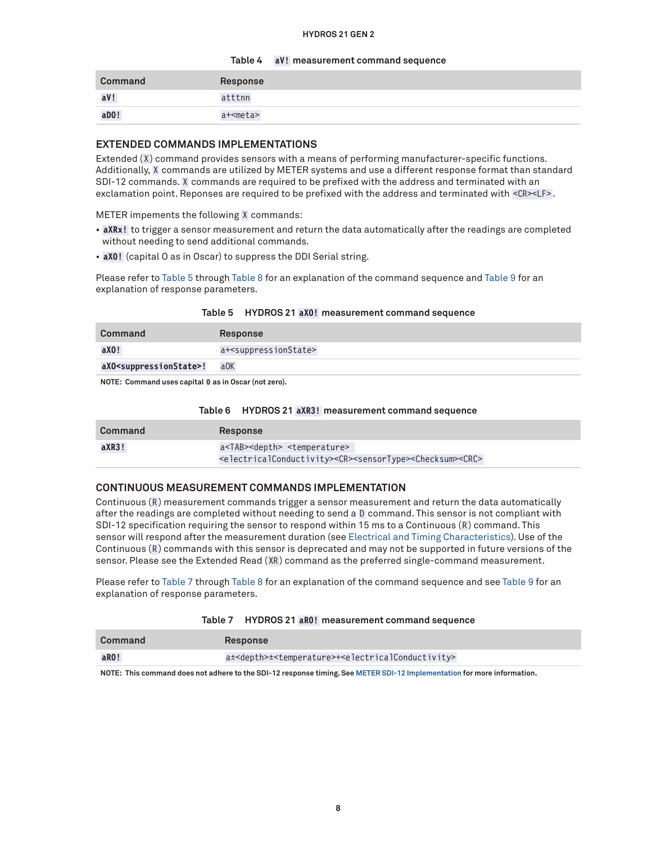#### **Table 4 aV! measurement command sequence**

| <b>Command</b> | Response   |
|----------------|------------|
| aV!            | atttnn     |
| aD0!           | a+ <meta/> |

#### **EXTENDED COMMANDS IMPLEMENTATIONS**

Extended (X) command provides sensors with a means of performing manufacturer-specific functions. Additionally, X commands are utilized by METER systems and use a different response format than standard SDI-12 commands. X commands are required to be prefixed with the address and terminated with an exclamation point. Reponses are required to be prefixed with the address and terminated with <CR><LF>.

METER impements the following X commands:

- **aXRx!** to trigger a sensor measurement and return the data automatically after the readings are completed without needing to send additional commands.
- **aXO!** (capital O as in Oscar) to suppress the DDI Serial string.

Please refer to [Table 5](#page-7-0) through [Table 8](#page-8-1) for an explanation of the command sequence and [Table 9](#page-8-0) for an explanation of response parameters.

<span id="page-7-0"></span>

|  |  |  | Table 5 HYDROS 21 aX0! measurement command sequence |  |  |
|--|--|--|-----------------------------------------------------|--|--|
|--|--|--|-----------------------------------------------------|--|--|

| Command                                             | <b>Response</b>                          |  |
|-----------------------------------------------------|------------------------------------------|--|
| aX0!                                                | a+ <suppressionstate></suppressionstate> |  |
| aXO <suppressionstate>!</suppressionstate>          | $a$ OK                                   |  |
| NOTE: Command uses southal 0 as in Ossay (not road) |                                          |  |

**NOTE: Command uses capital O as in Oscar (not zero).**

#### **Table 6 HYDROS 21 aXR3! measurement command sequence**

| Command | <b>Response</b>                                                                                                     |
|---------|---------------------------------------------------------------------------------------------------------------------|
| aXR3!   | a <tab><depth> <temperature></temperature></depth></tab>                                                            |
|         | <electricalconductivity><cr><sensortype><checksum><crc></crc></checksum></sensortype></cr></electricalconductivity> |

### **CONTINUOUS MEASUREMENT COMMANDS IMPLEMENTATION**

Continuous (R) measurement commands trigger a sensor measurement and return the data automatically after the readings are completed without needing to send a D command. This sensor is not compliant with SDI-12 specification requiring the sensor to respond within 15 ms to a Continuous (R) command. This sensor will respond after the measurement duration (see [Electrical and Timing Characteristics\)](#page-1-0). Use of the Continuous (R) commands with this sensor is deprecated and may not be supported in future versions of the sensor. Please see the Extended Read (XR) command as the preferred single-command measurement.

Please refer to [Table 7](#page-7-1) through [Table 8](#page-8-1) for an explanation of the command sequence and see [Table 9](#page-8-0) for an explanation of response parameters.

<span id="page-7-1"></span>

| Table 7 |  | / HYDROS 21 aR0! measurement command sequence |
|---------|--|-----------------------------------------------|
|---------|--|-----------------------------------------------|

| Command | <b>Response</b>                                                                                  |
|---------|--------------------------------------------------------------------------------------------------|
| aRO!    | a± <depth>±<temperature>+<electricalconductivity></electricalconductivity></temperature></depth> |

**NOTE: This command does not adhere to the SDI-12 response timing. See [METER SDI-12 Implementation](#page-3-0) for more information.**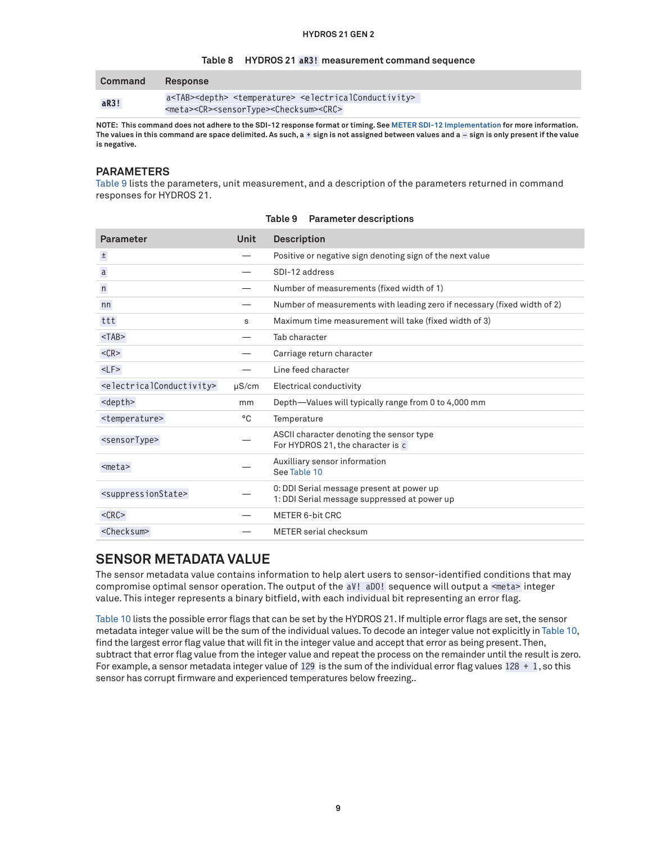#### <span id="page-8-1"></span>**Table 8 HYDROS 21 aR3! measurement command sequence**

| Command | <b>Response</b>                                                                                            |  |  |  |
|---------|------------------------------------------------------------------------------------------------------------|--|--|--|
| aR3!    | a <tab><depth> <temperature> <electricalconductivity></electricalconductivity></temperature></depth></tab> |  |  |  |
|         | <meta/> <cr><sensortype><checksum><crc></crc></checksum></sensortype></cr>                                 |  |  |  |

**NOTE: This command does not adhere to the SDI-12 response format or timing. See [METER SDI-12 Implementation](#page-3-0) for more information. The values in this command are space delimited. As such, a + sign is not assigned between values and a – sign is only present if the value is negative.**

#### **PARAMETERS**

[Table 9](#page-8-0) lists the parameters, unit measurement, and a description of the parameters returned in command responses for HYDROS 21.

| <b>Parameter</b>                                  | <b>Unit</b> | <b>Description</b>                                                                        |
|---------------------------------------------------|-------------|-------------------------------------------------------------------------------------------|
| $\pm$                                             |             | Positive or negative sign denoting sign of the next value                                 |
| a                                                 |             | SDI-12 address                                                                            |
| n                                                 |             | Number of measurements (fixed width of 1)                                                 |
| nn                                                |             | Number of measurements with leading zero if necessary (fixed width of 2)                  |
| ttt                                               | s           | Maximum time measurement will take (fixed width of 3)                                     |
| $<$ TAB $>$                                       |             | Tab character                                                                             |
| $<$ CR $>$                                        |             | Carriage return character                                                                 |
| $<$ LF $>$                                        |             | Line feed character                                                                       |
| <electricalconductivity></electricalconductivity> | $\mu$ S/cm  | Electrical conductivity                                                                   |
| <depth></depth>                                   | mm          | Depth-Values will typically range from 0 to 4,000 mm                                      |
| <temperature></temperature>                       | °C          | Temperature                                                                               |
| <sensortype></sensortype>                         |             | ASCII character denoting the sensor type<br>For HYDROS 21, the character is c             |
| $meta>$                                           |             | Auxilliary sensor information<br>See Table 10                                             |
| <suppressionstate></suppressionstate>             |             | 0: DDI Serial message present at power up<br>1: DDI Serial message suppressed at power up |
| $<$ CRC $>$                                       |             | <b>METER 6-bit CRC</b>                                                                    |
| <checksum></checksum>                             |             | METER serial checksum                                                                     |

<span id="page-8-0"></span>**Table 9 Parameter descriptions**

## **SENSOR METADATA VALUE**

The sensor metadata value contains information to help alert users to sensor-identified conditions that may compromise optimal sensor operation. The output of the aV! aD0! sequence will output a <meta> integer value. This integer represents a binary bitfield, with each individual bit representing an error flag.

[Table 10](#page-9-0) lists the possible error flags that can be set by the HYDROS 21. If multiple error flags are set, the sensor metadata integer value will be the sum of the individual values. To decode an integer value not explicitly in [Table 10,](#page-9-0) find the largest error flag value that will fit in the integer value and accept that error as being present. Then, subtract that error flag value from the integer value and repeat the process on the remainder until the result is zero. For example, a sensor metadata integer value of 129 is the sum of the individual error flag values  $128 + 1$ , so this sensor has corrupt firmware and experienced temperatures below freezing..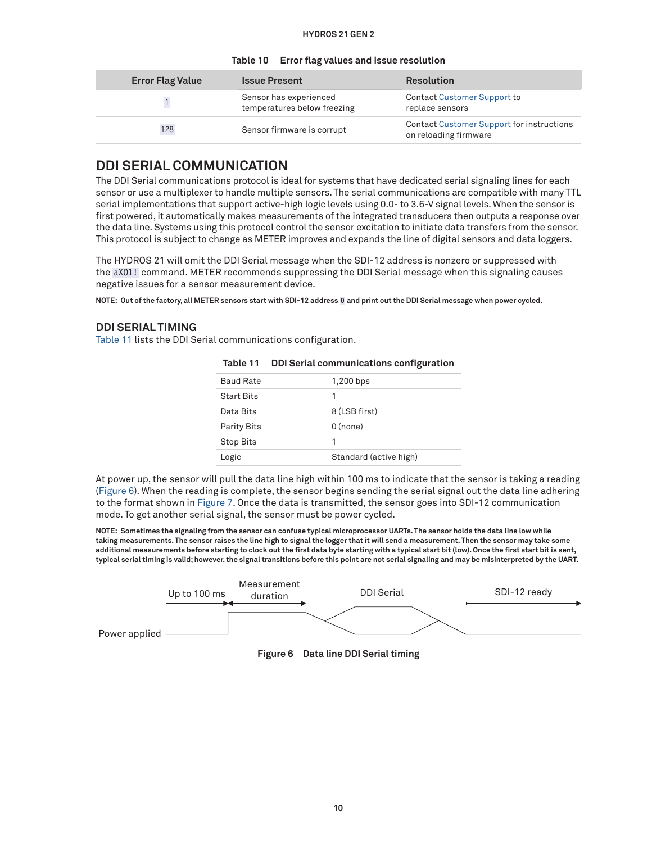| <b>Error Flag Value</b> | <b>Issue Present</b>                                  | <b>Resolution</b>                                                         |
|-------------------------|-------------------------------------------------------|---------------------------------------------------------------------------|
|                         | Sensor has experienced<br>temperatures below freezing | <b>Contact Customer Support to</b><br>replace sensors                     |
| 128                     | Sensor firmware is corrupt                            | <b>Contact Customer Support for instructions</b><br>on reloading firmware |

#### <span id="page-9-0"></span>**Table 10 Error flag values and issue resolution**

## **DDI SERIAL COMMUNICATION**

The DDI Serial communications protocol is ideal for systems that have dedicated serial signaling lines for each sensor or use a multiplexer to handle multiple sensors. The serial communications are compatible with many TTL serial implementations that support active-high logic levels using 0.0- to 3.6-V signal levels. When the sensor is first powered, it automatically makes measurements of the integrated transducers then outputs a response over the data line. Systems using this protocol control the sensor excitation to initiate data transfers from the sensor. This protocol is subject to change as METER improves and expands the line of digital sensors and data loggers.

The HYDROS 21 will omit the DDI Serial message when the SDI-12 address is nonzero or suppressed with the aXO1! command. METER recommends suppressing the DDI Serial message when this signaling causes negative issues for a sensor measurement device.

**NOTE: Out of the factory, all METER sensors start with SDI-12 address 0 and print out the DDI Serial message when power cycled.**

#### **DDI SERIAL TIMING**

[Table 11](#page-9-1) lists the DDI Serial communications configuration.

| <b>Baud Rate</b>   | 1,200 bps              |
|--------------------|------------------------|
| <b>Start Bits</b>  | 1                      |
| Data Bits          | 8 (LSB first)          |
| <b>Parity Bits</b> | $0$ (none)             |
| <b>Stop Bits</b>   | 1                      |
| Logic              | Standard (active high) |

<span id="page-9-1"></span>**Table 11 DDI Serial communications configuration**

At power up, the sensor will pull the data line high within 100 ms to indicate that the sensor is taking a reading ([Figure 6\)](#page-9-2). When the reading is complete, the sensor begins sending the serial signal out the data line adhering to the format shown in [Figure 7.](#page-10-0) Once the data is transmitted, the sensor goes into SDI-12 communication mode. To get another serial signal, the sensor must be power cycled.

**NOTE: Sometimes the signaling from the sensor can confuse typical microprocessor UARTs. The sensor holds the data line low while taking measurements. The sensor raises the line high to signal the logger that it will send a measurement. Then the sensor may take some additional measurements before starting to clock out the first data byte starting with a typical start bit (low). Once the first start bit is sent, typical serial timing is valid; however, the signal transitions before this point are not serial signaling and may be misinterpreted by the UART.**



<span id="page-9-2"></span>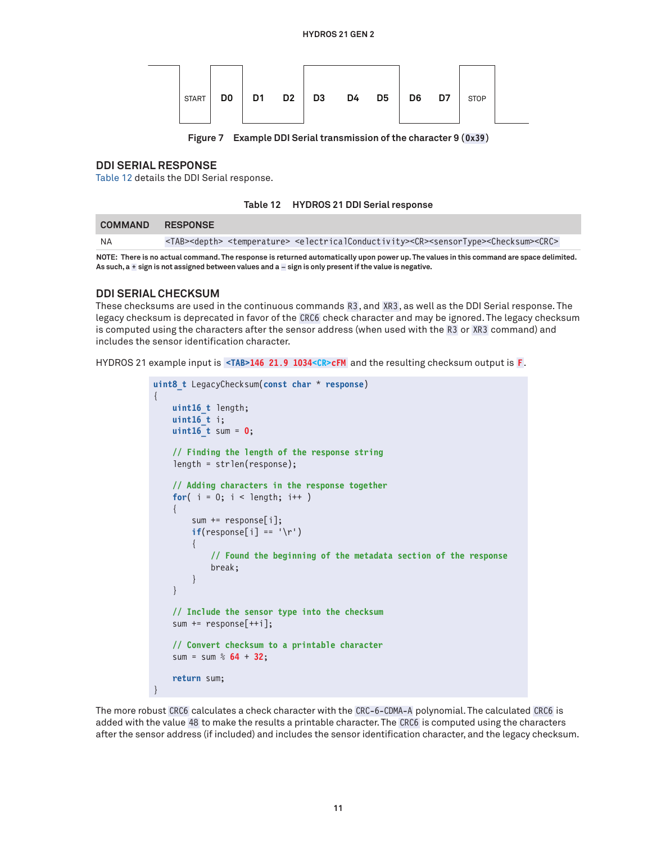| D1 D2 D3<br>D0<br><b>START</b> | D4 D5 | D6 D7 | <b>STOP</b> |  |
|--------------------------------|-------|-------|-------------|--|
|--------------------------------|-------|-------|-------------|--|

**Figure 7 Example DDI Serial transmission of the character 9 (0x39 )**

#### **DDI SERIAL RESPONSE**

[Table 12](#page-10-1) details the DDI Serial response.

<span id="page-10-1"></span><span id="page-10-0"></span>**Table 12 HYDROS 21 DDI Serial response**

| <b>COMMAND RESPONSE</b> |                                                                                                                                                                            |
|-------------------------|----------------------------------------------------------------------------------------------------------------------------------------------------------------------------|
| NA                      | <tab><depth> <temperature> <electricalconductivity><cr><sensortype><checksum><crc></crc></checksum></sensortype></cr></electricalconductivity></temperature></depth></tab> |

**NOTE: There is no actual command. The response is returned automatically upon power up. The values in this command are space delimited. As such, a + sign is not assigned between values and a – sign is only present if the value is negative.**

#### **DDI SERIAL CHECKSUM**

These checksums are used in the continuous commands R3, and XR3 , as well as the DDI Serial response. The legacy checksum is deprecated in favor of the CRC6 check character and may be ignored. The legacy checksum is computed using the characters after the sensor address (when used with the R3 or XR3 command) and includes the sensor identification character.

HYDROS 21 example input is **<TAB>146 21.9 1034<CR>cFM** and the resulting checksum output is **F**.

```
uint8_t LegacyChecksum(const char * response)
{ 
     uint16_t length;
     uint16_t i;
     uint16_t sum = 0;
     // Finding the length of the response string
     length = strlen(response);
     // Adding characters in the response together
    for( i = 0; i < length; i++)\left\{\begin{array}{c} \end{array}\right. sum += response[i];
         if(responsible[i] == '\r')\left\{ \begin{array}{c} \end{array} \right. // Found the beginning of the metadata section of the response
               break;
 }
      }
     // Include the sensor type into the checksum
    sum += response[++i]; // Convert checksum to a printable character
     sum = sum % 64 + 32;
     return sum;
}
```
The more robust CRC6 calculates a check character with the CRC-6-CDMA-A polynomial. The calculated CRC6 is added with the value 48 to make the results a printable character. The CRC6 is computed using the characters after the sensor address (if included) and includes the sensor identification character, and the legacy checksum.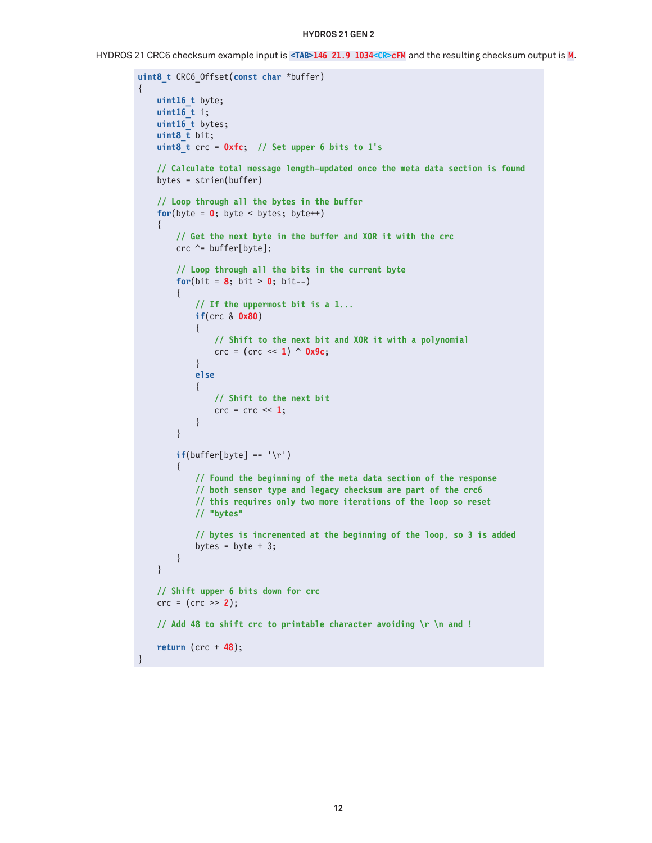HYDROS 21 CRC6 checksum example input is **<TAB>146 21.9 1034<CR>cFM** and the resulting checksum output is **M**.

```
uint8_t CRC6_Offset(const char *buffer)
{
      uint16_t byte;
      uint16_t i;
      uint16_t bytes;
      uint8_t bit;
      uint8_t crc = 0xfc; // Set upper 6 bits to 1's
      // Calculate total message length—updated once the meta data section is found
      bytes = strien(buffer)
      // Loop through all the bytes in the buffer
     for(byte = \mathbf{0}; byte < bytes; byte++)
      {
          // Get the next byte in the buffer and XOR it with the crc
         crc \sim= buffer[byte];
          // Loop through all the bits in the current byte
         for(bit = 8; bit > 0; bit--)
           {
               // If the uppermost bit is a 1...
               if(crc & 0x80)
{ } } } } } } { } } } } { } } } } { } } } } { } } } } { } } } } { } } } } { } } } } { } } } } { } } } } { } } } } { } } } } { } } } } { } } } } { } } } } { } } } } { } } } } { } } } } { } } } } { } } } } { } } } } { } } } 
                    // Shift to the next bit and XOR it with a polynomial
               crc = (crc << 1) ^ 0x9c;
 }
               else
\{ // Shift to the next bit
                   \text{crc} = \text{crc} \ll 1;
 }
           }
         if(burface[byte] == '\r') {
               // Found the beginning of the meta data section of the response
               // both sensor type and legacy checksum are part of the crc6
               // this requires only two more iterations of the loop so reset
               // "bytes"
               // bytes is incremented at the beginning of the loop, so 3 is added
              bytes = byte + 3;
          }
      }
      // Shift upper 6 bits down for crc
      crc = (crc >> 2);
      // Add 48 to shift crc to printable character avoiding \r \n and !
      return (crc + 48);
}
```